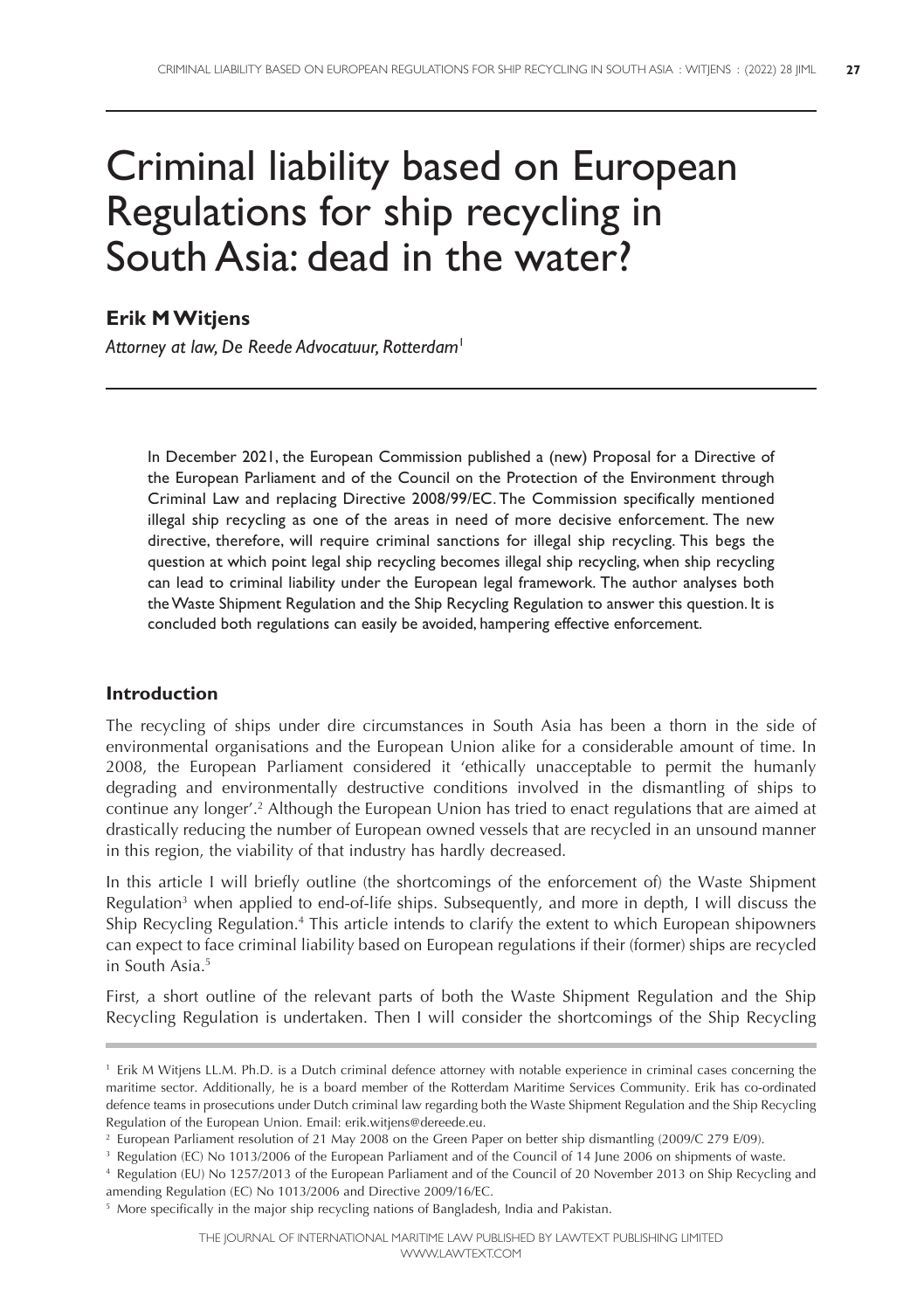# Criminal liability based on European Regulations for ship recycling in South Asia: dead in the water?

# **Erik MWitjens**

*Attorney at law, De Reede Advocatuur, Rotterdam*<sup>1</sup>

In December 2021, the European Commission published a (new) Proposal for a Directive of the European Parliament and of the Council on the Protection of the Environment through Criminal Law and replacing Directive 2008/99/EC. The Commission specifically mentioned illegal ship recycling as one of the areas in need of more decisive enforcement. The new directive, therefore, will require criminal sanctions for illegal ship recycling. This begs the question at which point legal ship recycling becomes illegal ship recycling, when ship recycling can lead to criminal liability under the European legal framework. The author analyses both theWaste Shipment Regulation and the Ship Recycling Regulation to answer this question. It is concluded both regulations can easily be avoided, hampering effective enforcement.

# **Introduction**

The recycling of ships under dire circumstances in South Asia has been a thorn in the side of environmental organisations and the European Union alike for a considerable amount of time. In 2008, the European Parliament considered it 'ethically unacceptable to permit the humanly degrading and environmentally destructive conditions involved in the dismantling of ships to continue any longer'. <sup>2</sup> Although the European Union has tried to enact regulations that are aimed at drastically reducing the number of European owned vessels that are recycled in an unsound manner in this region, the viability of that industry has hardly decreased.

In this article I will briefly outline (the shortcomings of the enforcement of) the Waste Shipment Regulation<sup>3</sup> when applied to end-of-life ships. Subsequently, and more in depth, I will discuss the Ship Recycling Regulation. <sup>4</sup> This article intends to clarify the extent to which European shipowners can expect to face criminal liability based on European regulations if their (former) ships are recycled in South Asia. 5

First, a short outline of the relevant parts of both the Waste Shipment Regulation and the Ship Recycling Regulation is undertaken. Then I will consider the shortcomings of the Ship Recycling

<sup>1</sup> Erik M Witjens LL.M. Ph.D. is a Dutch criminal defence attorney with notable experience in criminal cases concerning the maritime sector. Additionally, he is a board member of the Rotterdam Maritime Services Community. Erik has co-ordinated defence teams in prosecutions under Dutch criminal law regarding both the Waste Shipment Regulation and the Ship Recycling Regulation of the European Union. Email: erik.witjens@dereede.eu.

<sup>2</sup> European Parliament resolution of 21 May 2008 on the Green Paper on better ship dismantling (2009/C 279 E/09).

<sup>&</sup>lt;sup>3</sup> Regulation (EC) No 1013/2006 of the European Parliament and of the Council of 14 June 2006 on shipments of waste.

<sup>4</sup> Regulation (EU) No 1257/2013 of the European Parliament and of the Council of 20 November 2013 on Ship Recycling and amending Regulation (EC) No 1013/2006 and Directive 2009/16/EC.

<sup>&</sup>lt;sup>5</sup> More specifically in the major ship recycling nations of Bangladesh, India and Pakistan.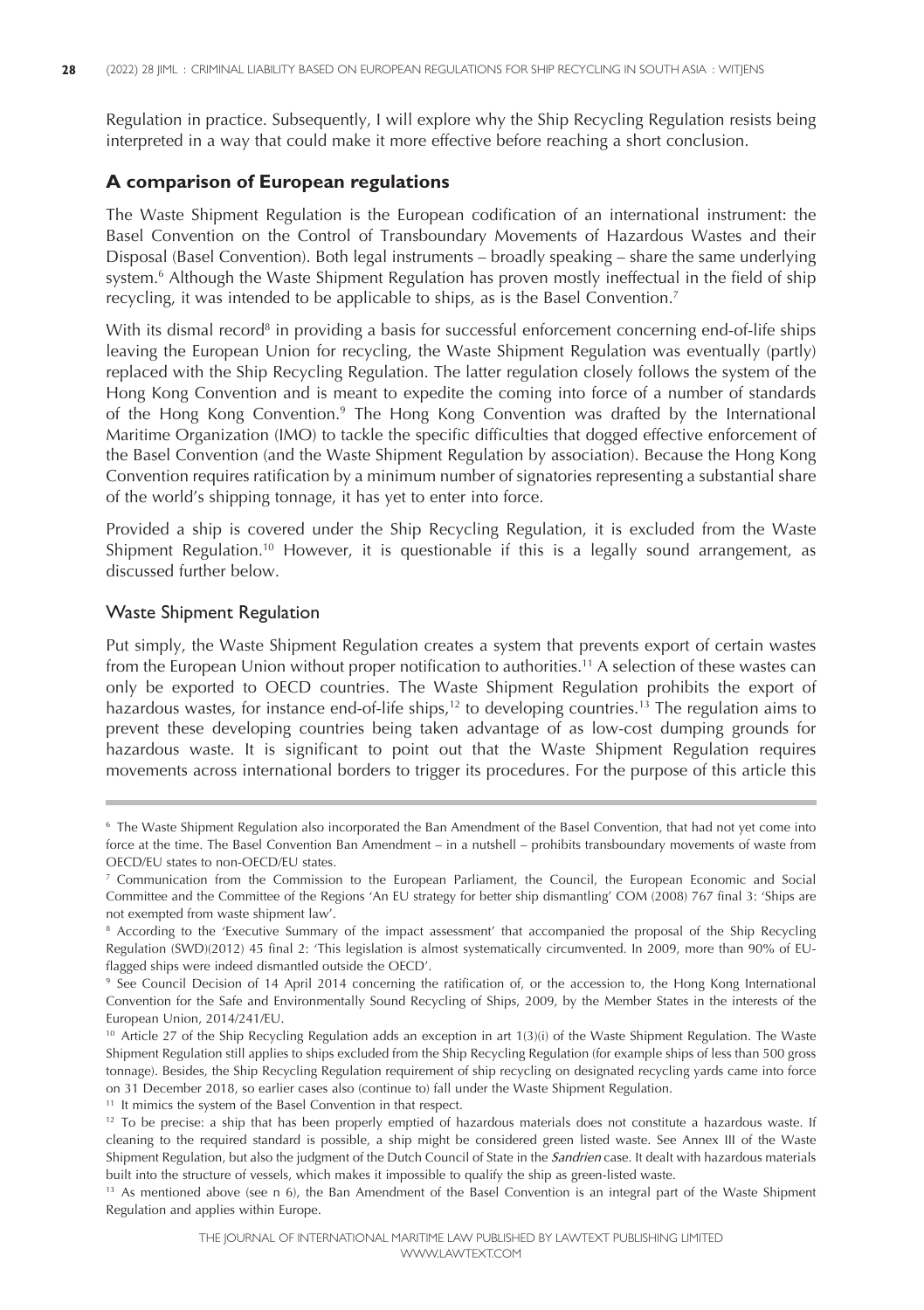Regulation in practice. Subsequently, I will explore why the Ship Recycling Regulation resists being interpreted in a way that could make it more effective before reaching a short conclusion.

### **A comparison of European regulations**

The Waste Shipment Regulation is the European codification of an international instrument: the Basel Convention on the Control of Transboundary Movements of Hazardous Wastes and their Disposal (Basel Convention). Both legal instruments – broadly speaking – share the same underlying system. <sup>6</sup> Although the Waste Shipment Regulation has proven mostly ineffectual in the field of ship recycling, it was intended to be applicable to ships, as is the Basel Convention. 7

With its dismal record<sup>8</sup> in providing a basis for successful enforcement concerning end-of-life ships leaving the European Union for recycling, the Waste Shipment Regulation was eventually (partly) replaced with the Ship Recycling Regulation. The latter regulation closely follows the system of the Hong Kong Convention and is meant to expedite the coming into force of a number of standards of the Hong Kong Convention.<sup>9</sup> The Hong Kong Convention was drafted by the International Maritime Organization (IMO) to tackle the specific difficulties that dogged effective enforcement of the Basel Convention (and the Waste Shipment Regulation by association). Because the Hong Kong Convention requires ratification by a minimum number of signatories representing a substantial share of the world's shipping tonnage, it has yet to enter into force.

Provided a ship is covered under the Ship Recycling Regulation, it is excluded from the Waste Shipment Regulation. <sup>10</sup> However, it is questionable if this is a legally sound arrangement, as discussed further below.

#### Waste Shipment Regulation

Put simply, the Waste Shipment Regulation creates a system that prevents export of certain wastes from the European Union without proper notification to authorities. <sup>11</sup> A selection of these wastes can only be exported to OECD countries. The Waste Shipment Regulation prohibits the export of hazardous wastes, for instance end-of-life ships, <sup>12</sup> to developing countries. <sup>13</sup> The regulation aims to prevent these developing countries being taken advantage of as low-cost dumping grounds for hazardous waste. It is significant to point out that the Waste Shipment Regulation requires movements across international borders to trigger its procedures. For the purpose of this article this

<sup>6</sup> The Waste Shipment Regulation also incorporated the Ban Amendment of the Basel Convention, that had not yet come into force at the time. The Basel Convention Ban Amendment – in a nutshell – prohibits transboundary movements of waste from OECD/EU states to non-OECD/EU states.

<sup>7</sup> Communication from the Commission to the European Parliament, the Council, the European Economic and Social Committee and the Committee of the Regions 'An EU strategy for better ship dismantling' COM (2008) 767 final 3: 'Ships are not exempted from waste shipment law'.

<sup>&</sup>lt;sup>8</sup> According to the 'Executive Summary of the impact assessment' that accompanied the proposal of the Ship Recycling Regulation (SWD)(2012) 45 final 2: 'This legislation is almost systematically circumvented. In 2009, more than 90% of EUflagged ships were indeed dismantled outside the OECD'.

<sup>&</sup>lt;sup>9</sup> See Council Decision of 14 April 2014 concerning the ratification of, or the accession to, the Hong Kong International Convention for the Safe and Environmentally Sound Recycling of Ships, 2009, by the Member States in the interests of the European Union, 2014/241/EU.

<sup>&</sup>lt;sup>10</sup> Article 27 of the Ship Recycling Regulation adds an exception in art 1(3)(i) of the Waste Shipment Regulation. The Waste Shipment Regulation still applies to ships excluded from the Ship Recycling Regulation (for example ships of less than 500 gross tonnage). Besides, the Ship Recycling Regulation requirement of ship recycling on designated recycling yards came into force on 31 December 2018, so earlier cases also (continue to) fall under the Waste Shipment Regulation.

<sup>&</sup>lt;sup>11</sup> It mimics the system of the Basel Convention in that respect.

 $12$  To be precise: a ship that has been properly emptied of hazardous materials does not constitute a hazardous waste. If cleaning to the required standard is possible, a ship might be considered green listed waste. See Annex III of the Waste Shipment Regulation, but also the judgment of the Dutch Council of State in the *Sandrien* case. It dealt with hazardous materials built into the structure of vessels, which makes it impossible to qualify the ship as green-listed waste.

<sup>13</sup> As mentioned above (see n 6), the Ban Amendment of the Basel Convention is an integral part of the Waste Shipment Regulation and applies within Europe.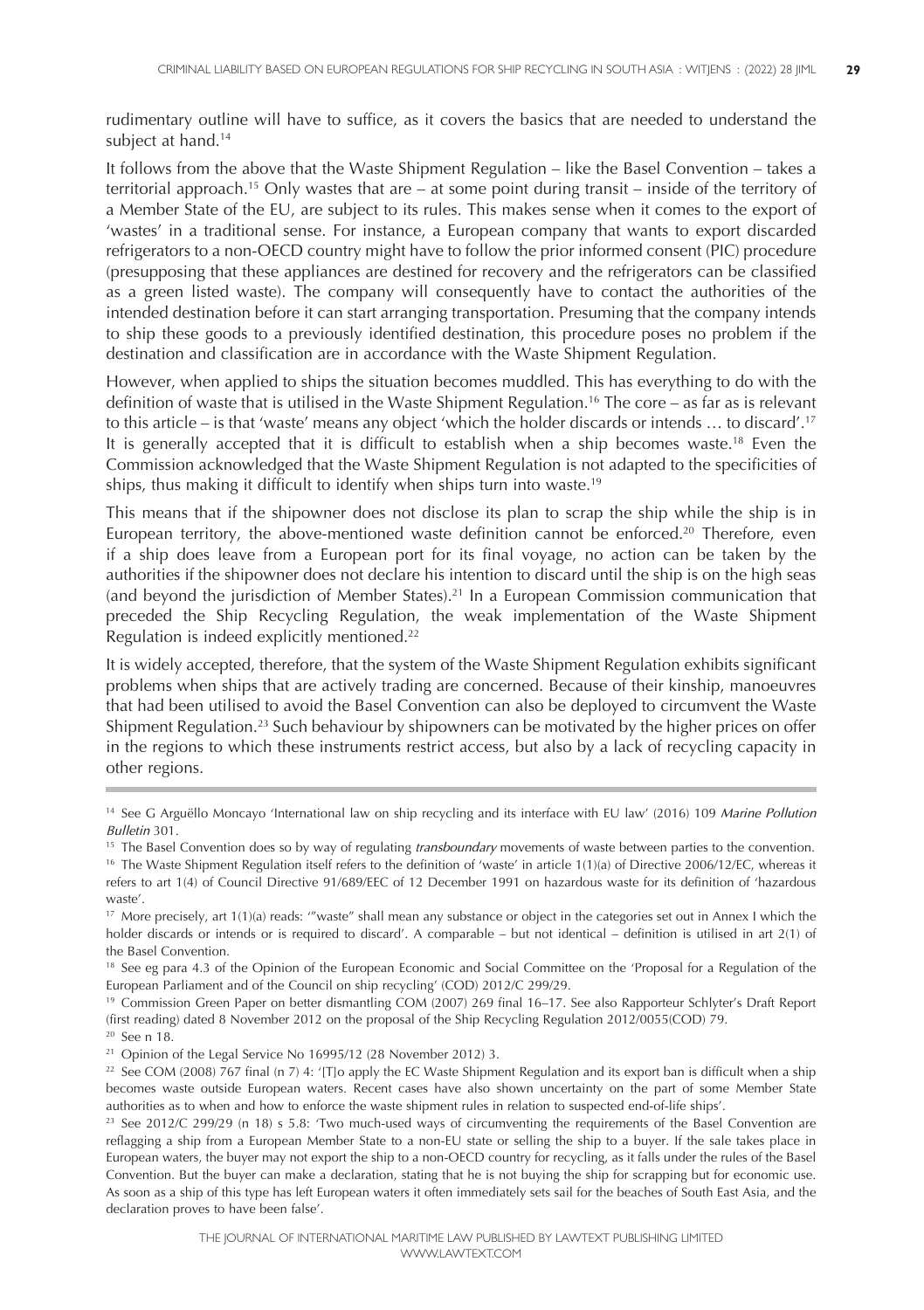rudimentary outline will have to suffice, as it covers the basics that are needed to understand the subject at hand. 14

It follows from the above that the Waste Shipment Regulation – like the Basel Convention – takes a territorial approach. <sup>15</sup> Only wastes that are – at some point during transit – inside of the territory of a Member State of the EU, are subject to its rules. This makes sense when it comes to the export of 'wastes' in a traditional sense. For instance, a European company that wants to export discarded refrigerators to a non-OECD country might have to follow the prior informed consent (PIC) procedure (presupposing that these appliances are destined for recovery and the refrigerators can be classified as a green listed waste). The company will consequently have to contact the authorities of the intended destination before it can start arranging transportation. Presuming that the company intends to ship these goods to a previously identified destination, this procedure poses no problem if the destination and classification are in accordance with the Waste Shipment Regulation.

However, when applied to ships the situation becomes muddled. This has everything to do with the definition of waste that is utilised in the Waste Shipment Regulation. <sup>16</sup> The core – as far as is relevant to this article – is that 'waste' means any object 'which the holder discards or intends … to discard'. 17 It is generally accepted that it is difficult to establish when a ship becomes waste. <sup>18</sup> Even the Commission acknowledged that the Waste Shipment Regulation is not adapted to the specificities of ships, thus making it difficult to identify when ships turn into waste. 19

This means that if the shipowner does not disclose its plan to scrap the ship while the ship is in European territory, the above-mentioned waste definition cannot be enforced. <sup>20</sup> Therefore, even if a ship does leave from a European port for its final voyage, no action can be taken by the authorities if the shipowner does not declare his intention to discard until the ship is on the high seas (and beyond the jurisdiction of Member States).<sup>21</sup> In a European Commission communication that preceded the Ship Recycling Regulation, the weak implementation of the Waste Shipment Regulation is indeed explicitly mentioned. 22

It is widely accepted, therefore, that the system of the Waste Shipment Regulation exhibits significant problems when ships that are actively trading are concerned. Because of their kinship, manoeuvres that had been utilised to avoid the Basel Convention can also be deployed to circumvent the Waste Shipment Regulation. <sup>23</sup> Such behaviour by shipowners can be motivated by the higher prices on offer in the regions to which these instruments restrict access, but also by a lack of recycling capacity in other regions.

<sup>20</sup> See n 18.

<sup>14</sup> See G Arguëllo Moncayo 'International law on ship recycling and its interface with EU law' (2016) 109 *Marine Pollution Bulletin* 301.

<sup>15</sup> The Basel Convention does so by way of regulating *transboundary* movements of waste between parties to the convention.

<sup>&</sup>lt;sup>16</sup> The Waste Shipment Regulation itself refers to the definition of 'waste' in article 1(1)(a) of Directive 2006/12/EC, whereas it refers to art 1(4) of Council Directive 91/689/EEC of 12 December 1991 on hazardous waste for its definition of 'hazardous waste'.

<sup>&</sup>lt;sup>17</sup> More precisely, art 1(1)(a) reads: "'waste" shall mean any substance or object in the categories set out in Annex I which the holder discards or intends or is required to discard'. A comparable – but not identical – definition is utilised in art 2(1) of the Basel Convention.

<sup>&</sup>lt;sup>18</sup> See eg para 4.3 of the Opinion of the European Economic and Social Committee on the 'Proposal for a Regulation of the European Parliament and of the Council on ship recycling' (COD) 2012/C 299/29.

<sup>19</sup> Commission Green Paper on better dismantling COM (2007) 269 final 16–17. See also Rapporteur Schlyter's Draft Report (first reading) dated 8 November 2012 on the proposal of the Ship Recycling Regulation 2012/0055(COD) 79.

<sup>&</sup>lt;sup>21</sup> Opinion of the Legal Service No 16995/12 (28 November 2012) 3.

<sup>&</sup>lt;sup>22</sup> See COM (2008)  $\frac{1}{767}$  final (n 7) 4: '[T]o apply the EC Waste Shipment Regulation and its export ban is difficult when a ship becomes waste outside European waters. Recent cases have also shown uncertainty on the part of some Member State authorities as to when and how to enforce the waste shipment rules in relation to suspected end-of-life ships'.

<sup>&</sup>lt;sup>23</sup> See 2012/C 299/29 (n 18) s 5.8: 'Two much-used ways of circumventing the requirements of the Basel Convention are reflagging a ship from a European Member State to a non-EU state or selling the ship to a buyer. If the sale takes place in European waters, the buyer may not export the ship to a non-OECD country for recycling, as it falls under the rules of the Basel Convention. But the buyer can make a declaration, stating that he is not buying the ship for scrapping but for economic use. As soon as a ship of this type has left European waters it often immediately sets sail for the beaches of South East Asia, and the declaration proves to have been false'.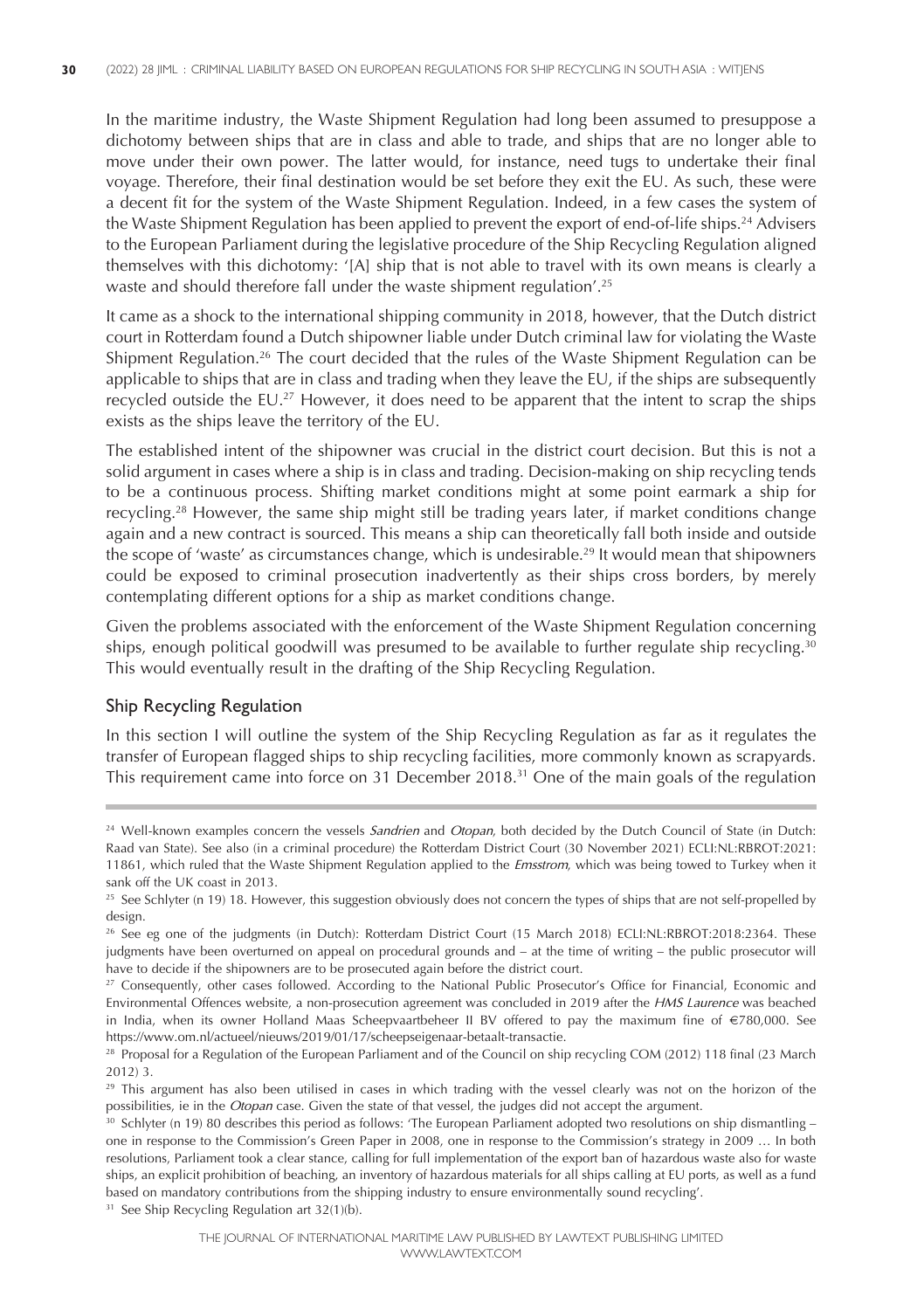In the maritime industry, the Waste Shipment Regulation had long been assumed to presuppose a dichotomy between ships that are in class and able to trade, and ships that are no longer able to move under their own power. The latter would, for instance, need tugs to undertake their final voyage. Therefore, their final destination would be set before they exit the EU. As such, these were a decent fit for the system of the Waste Shipment Regulation. Indeed, in a few cases the system of the Waste Shipment Regulation has been applied to prevent the export of end-of-life ships. <sup>24</sup> Advisers to the European Parliament during the legislative procedure of the Ship Recycling Regulation aligned themselves with this dichotomy: '[A] ship that is not able to travel with its own means is clearly a waste and should therefore fall under the waste shipment regulation'. 25

It came as a shock to the international shipping community in 2018, however, that the Dutch district court in Rotterdam found a Dutch shipowner liable under Dutch criminal law for violating the Waste Shipment Regulation. <sup>26</sup> The court decided that the rules of the Waste Shipment Regulation can be applicable to ships that are in class and trading when they leave the EU, if the ships are subsequently recycled outside the EU. <sup>27</sup> However, it does need to be apparent that the intent to scrap the ships exists as the ships leave the territory of the EU.

The established intent of the shipowner was crucial in the district court decision. But this is not a solid argument in cases where a ship is in class and trading. Decision-making on ship recycling tends to be a continuous process. Shifting market conditions might at some point earmark a ship for recycling. <sup>28</sup> However, the same ship might still be trading years later, if market conditions change again and a new contract is sourced. This means a ship can theoretically fall both inside and outside the scope of 'waste' as circumstances change, which is undesirable. <sup>29</sup> It would mean that shipowners could be exposed to criminal prosecution inadvertently as their ships cross borders, by merely contemplating different options for a ship as market conditions change.

Given the problems associated with the enforcement of the Waste Shipment Regulation concerning ships, enough political goodwill was presumed to be available to further regulate ship recycling.<sup>30</sup> This would eventually result in the drafting of the Ship Recycling Regulation.

#### Ship Recycling Regulation

In this section I will outline the system of the Ship Recycling Regulation as far as it regulates the transfer of European flagged ships to ship recycling facilities, more commonly known as scrapyards. This requirement came into force on 31 December 2018. <sup>31</sup> One of the main goals of the regulation

<sup>31</sup> See Ship Recycling Regulation art 32(1)(b).

<sup>24</sup> Well-known examples concern the vessels *Sandrien* and *Otopan*, both decided by the Dutch Council of State (in Dutch: Raad van State). See also (in a criminal procedure) the Rotterdam District Court (30 November 2021) ECLI:NL:RBROT:2021: 11861, which ruled that the Waste Shipment Regulation applied to the *Emsstrom*, which was being towed to Turkey when it sank off the UK coast in 2013.

<sup>&</sup>lt;sup>25</sup> See Schlyter (n 19) 18. However, this suggestion obviously does not concern the types of ships that are not self-propelled by design.

<sup>&</sup>lt;sup>26</sup> See eg one of the judgments (in Dutch): Rotterdam District Court (15 March 2018) ECLI:NL:RBROT:2018:2364. These judgments have been overturned on appeal on procedural grounds and – at the time of writing – the public prosecutor will have to decide if the shipowners are to be prosecuted again before the district court.

<sup>&</sup>lt;sup>27</sup> Consequently, other cases followed. According to the National Public Prosecutor's Office for Financial, Economic and Environmental Offences website, a non-prosecution agreement was concluded in 2019 after the *HMS Laurence* was beached in India, when its owner Holland Maas Scheepvaartbeheer II BV offered to pay the maximum fine of **€**780,000. See https://www.om.nl/actueel/nieuws/2019/01/17/scheepseigenaar-betaalt-transactie.

<sup>&</sup>lt;sup>28</sup> Proposal for a Regulation of the European Parliament and of the Council on ship recycling COM (2012) 118 final (23 March 2012) 3.

<sup>&</sup>lt;sup>29</sup> This argument has also been utilised in cases in which trading with the vessel clearly was not on the horizon of the possibilities, ie in the *Otopan* case. Given the state of that vessel, the judges did not accept the argument.

<sup>&</sup>lt;sup>30</sup> Schlyter (n 19) 80 describes this period as follows: 'The European Parliament adopted two resolutions on ship dismantling – one in response to the Commission's Green Paper in 2008, one in response to the Commission's strategy in 2009 … In both resolutions, Parliament took a clear stance, calling for full implementation of the export ban of hazardous waste also for waste ships, an explicit prohibition of beaching, an inventory of hazardous materials for all ships calling at EU ports, as well as a fund based on mandatory contributions from the shipping industry to ensure environmentally sound recycling'.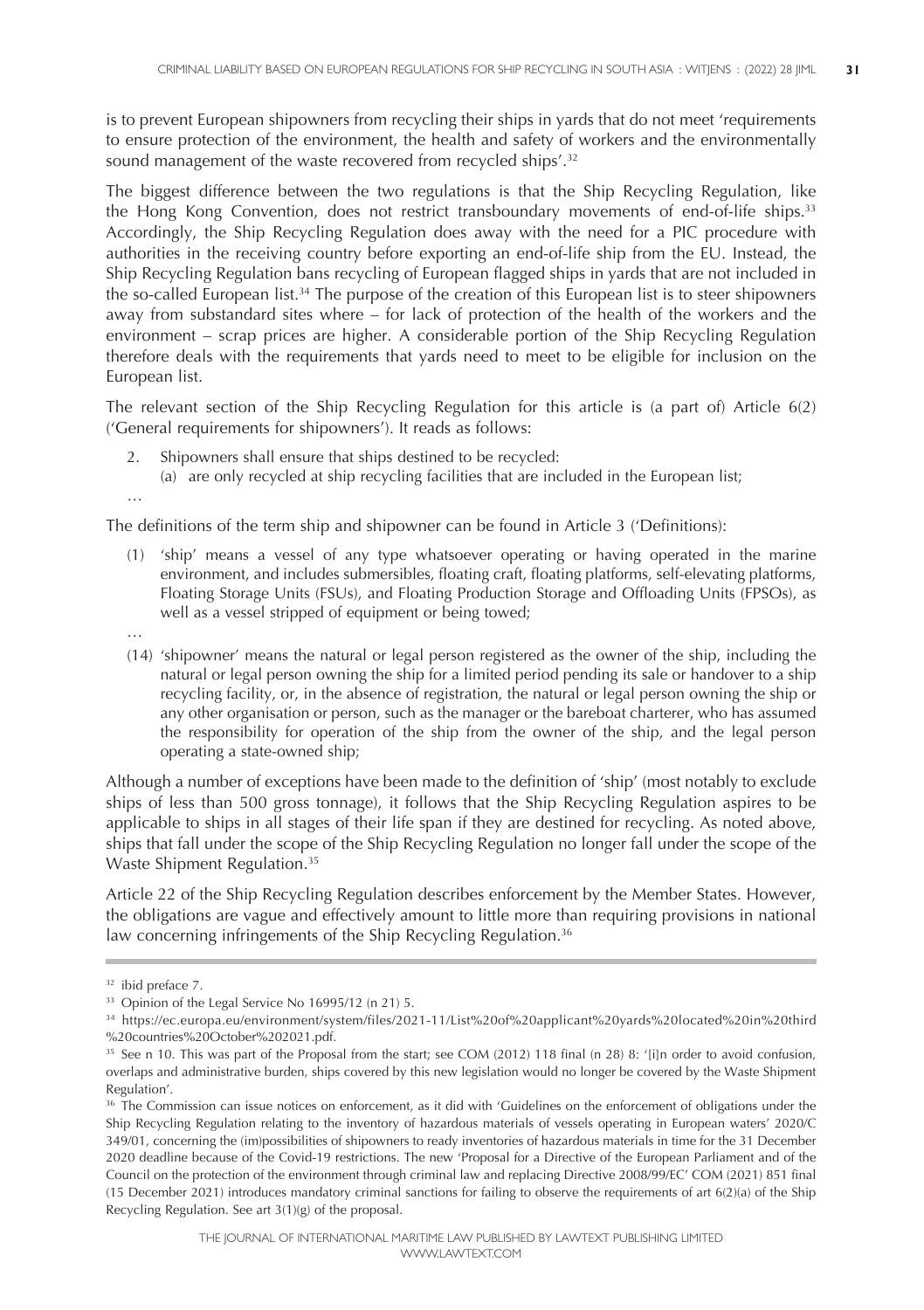is to prevent European shipowners from recycling their ships in yards that do not meet 'requirements to ensure protection of the environment, the health and safety of workers and the environmentally sound management of the waste recovered from recycled ships'. 32

The biggest difference between the two regulations is that the Ship Recycling Regulation, like the Hong Kong Convention, does not restrict transboundary movements of end-of-life ships.<sup>33</sup> Accordingly, the Ship Recycling Regulation does away with the need for a PIC procedure with authorities in the receiving country before exporting an end-of-life ship from the EU. Instead, the Ship Recycling Regulation bans recycling of European flagged ships in yards that are not included in the so-called European list.<sup>34</sup> The purpose of the creation of this European list is to steer shipowners away from substandard sites where – for lack of protection of the health of the workers and the environment – scrap prices are higher. A considerable portion of the Ship Recycling Regulation therefore deals with the requirements that yards need to meet to be eligible for inclusion on the European list.

The relevant section of the Ship Recycling Regulation for this article is (a part of) Article 6(2) ('General requirements for shipowners'). It reads as follows:

- 2. Shipowners shall ensure that ships destined to be recycled:
	- (a) are only recycled at ship recycling facilities that are included in the European list;

…

The definitions of the term ship and shipowner can be found in Article 3 ('Definitions):

- (1) 'ship' means a vessel of any type whatsoever operating or having operated in the marine environment, and includes submersibles, floating craft, floating platforms, self-elevating platforms, Floating Storage Units (FSUs), and Floating Production Storage and Offloading Units (FPSOs), as well as a vessel stripped of equipment or being towed;
- …
- (14) 'shipowner' means the natural or legal person registered as the owner of the ship, including the natural or legal person owning the ship for a limited period pending its sale or handover to a ship recycling facility, or, in the absence of registration, the natural or legal person owning the ship or any other organisation or person, such as the manager or the bareboat charterer, who has assumed the responsibility for operation of the ship from the owner of the ship, and the legal person operating a state-owned ship;

Although a number of exceptions have been made to the definition of 'ship' (most notably to exclude ships of less than 500 gross tonnage), it follows that the Ship Recycling Regulation aspires to be applicable to ships in all stages of their life span if they are destined for recycling. As noted above, ships that fall under the scope of the Ship Recycling Regulation no longer fall under the scope of the Waste Shipment Regulation. 35

Article 22 of the Ship Recycling Regulation describes enforcement by the Member States. However, the obligations are vague and effectively amount to little more than requiring provisions in national law concerning infringements of the Ship Recycling Regulation.<sup>36</sup>

<sup>32</sup> ibid preface 7.

<sup>&</sup>lt;sup>33</sup> Opinion of the Legal Service No 16995/12 (n 21) 5.

<sup>34</sup> https://ec.europa.eu/environment/system/files/2021-11/List%20of%20applicant%20yards%20located%20in%20third %20countries%20October%202021.pdf.

<sup>35</sup> See n 10. This was part of the Proposal from the start; see COM (2012) 118 final (n 28) 8: '[i]n order to avoid confusion, overlaps and administrative burden, ships covered by this new legislation would no longer be covered by the Waste Shipment Regulation'.

<sup>&</sup>lt;sup>36</sup> The Commission can issue notices on enforcement, as it did with 'Guidelines on the enforcement of obligations under the Ship Recycling Regulation relating to the inventory of hazardous materials of vessels operating in European waters' 2020/C 349/01, concerning the (im)possibilities of shipowners to ready inventories of hazardous materials in time for the 31 December 2020 deadline because of the Covid-19 restrictions. The new 'Proposal for a Directive of the European Parliament and of the Council on the protection of the environment through criminal law and replacing Directive 2008/99/EC' COM (2021) 851 final (15 December 2021) introduces mandatory criminal sanctions for failing to observe the requirements of art 6(2)(a) of the Ship Recycling Regulation. See art 3(1)(g) of the proposal.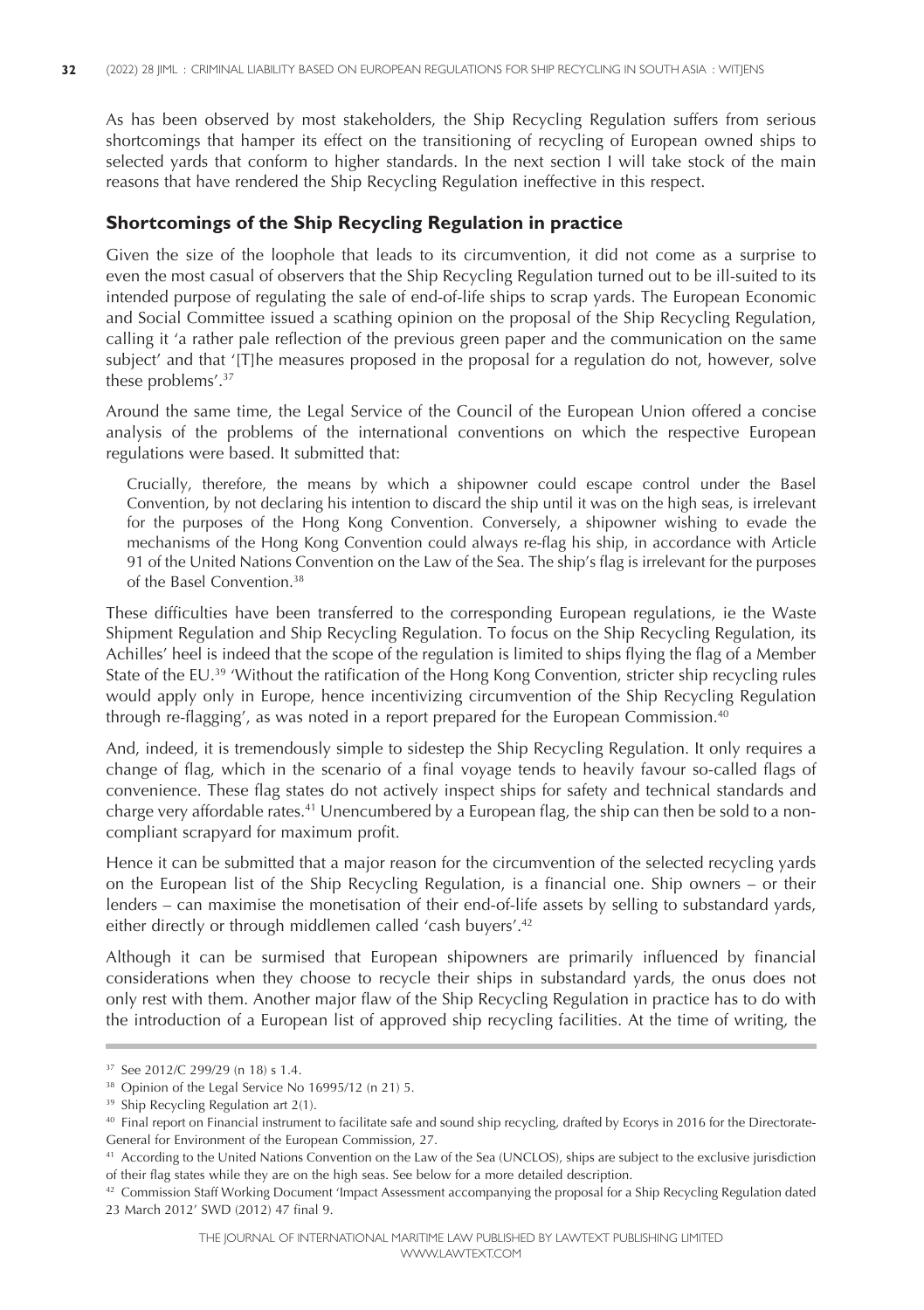As has been observed by most stakeholders, the Ship Recycling Regulation suffers from serious shortcomings that hamper its effect on the transitioning of recycling of European owned ships to selected yards that conform to higher standards. In the next section I will take stock of the main reasons that have rendered the Ship Recycling Regulation ineffective in this respect.

### **Shortcomings of the Ship Recycling Regulation in practice**

Given the size of the loophole that leads to its circumvention, it did not come as a surprise to even the most casual of observers that the Ship Recycling Regulation turned out to be ill-suited to its intended purpose of regulating the sale of end-of-life ships to scrap yards. The European Economic and Social Committee issued a scathing opinion on the proposal of the Ship Recycling Regulation, calling it 'a rather pale reflection of the previous green paper and the communication on the same subject' and that '[T]he measures proposed in the proposal for a regulation do not, however, solve these problems'. 37

Around the same time, the Legal Service of the Council of the European Union offered a concise analysis of the problems of the international conventions on which the respective European regulations were based. It submitted that:

Crucially, therefore, the means by which a shipowner could escape control under the Basel Convention, by not declaring his intention to discard the ship until it was on the high seas, is irrelevant for the purposes of the Hong Kong Convention. Conversely, a shipowner wishing to evade the mechanisms of the Hong Kong Convention could always re-flag his ship, in accordance with Article 91 of the United Nations Convention on the Law of the Sea. The ship's flag is irrelevant for the purposes of the Basel Convention. 38

These difficulties have been transferred to the corresponding European regulations, ie the Waste Shipment Regulation and Ship Recycling Regulation. To focus on the Ship Recycling Regulation, its Achilles' heel is indeed that the scope of the regulation is limited to ships flying the flag of a Member State of the EU. <sup>39</sup> 'Without the ratification of the Hong Kong Convention, stricter ship recycling rules would apply only in Europe, hence incentivizing circumvention of the Ship Recycling Regulation through re-flagging', as was noted in a report prepared for the European Commission. 40

And, indeed, it is tremendously simple to sidestep the Ship Recycling Regulation. It only requires a change of flag, which in the scenario of a final voyage tends to heavily favour so-called flags of convenience. These flag states do not actively inspect ships for safety and technical standards and charge very affordable rates. <sup>41</sup> Unencumbered by a European flag, the ship can then be sold to a noncompliant scrapyard for maximum profit.

Hence it can be submitted that a major reason for the circumvention of the selected recycling yards on the European list of the Ship Recycling Regulation, is a financial one. Ship owners – or their lenders – can maximise the monetisation of their end-of-life assets by selling to substandard yards, either directly or through middlemen called 'cash buyers'. 42

Although it can be surmised that European shipowners are primarily influenced by financial considerations when they choose to recycle their ships in substandard yards, the onus does not only rest with them. Another major flaw of the Ship Recycling Regulation in practice has to do with the introduction of a European list of approved ship recycling facilities. At the time of writing, the

<sup>37</sup> See 2012/C 299/29 (n 18) s 1.4.

<sup>38</sup> Opinion of the Legal Service No 16995/12 (n 21) 5.

<sup>&</sup>lt;sup>39</sup> Ship Recycling Regulation art 2(1).

<sup>40</sup> Final report on Financial instrument to facilitate safe and sound ship recycling, drafted by Ecorys in 2016 for the Directorate-General for Environment of the European Commission, 27.

<sup>41</sup> According to the United Nations Convention on the Law of the Sea (UNCLOS), ships are subject to the exclusive jurisdiction of their flag states while they are on the high seas. See below for a more detailed description.

 $42$  Commission Staff Working Document 'Impact Assessment accompanying the proposal for a Ship Recycling Regulation dated 23 March 2012' SWD (2012) 47 final 9.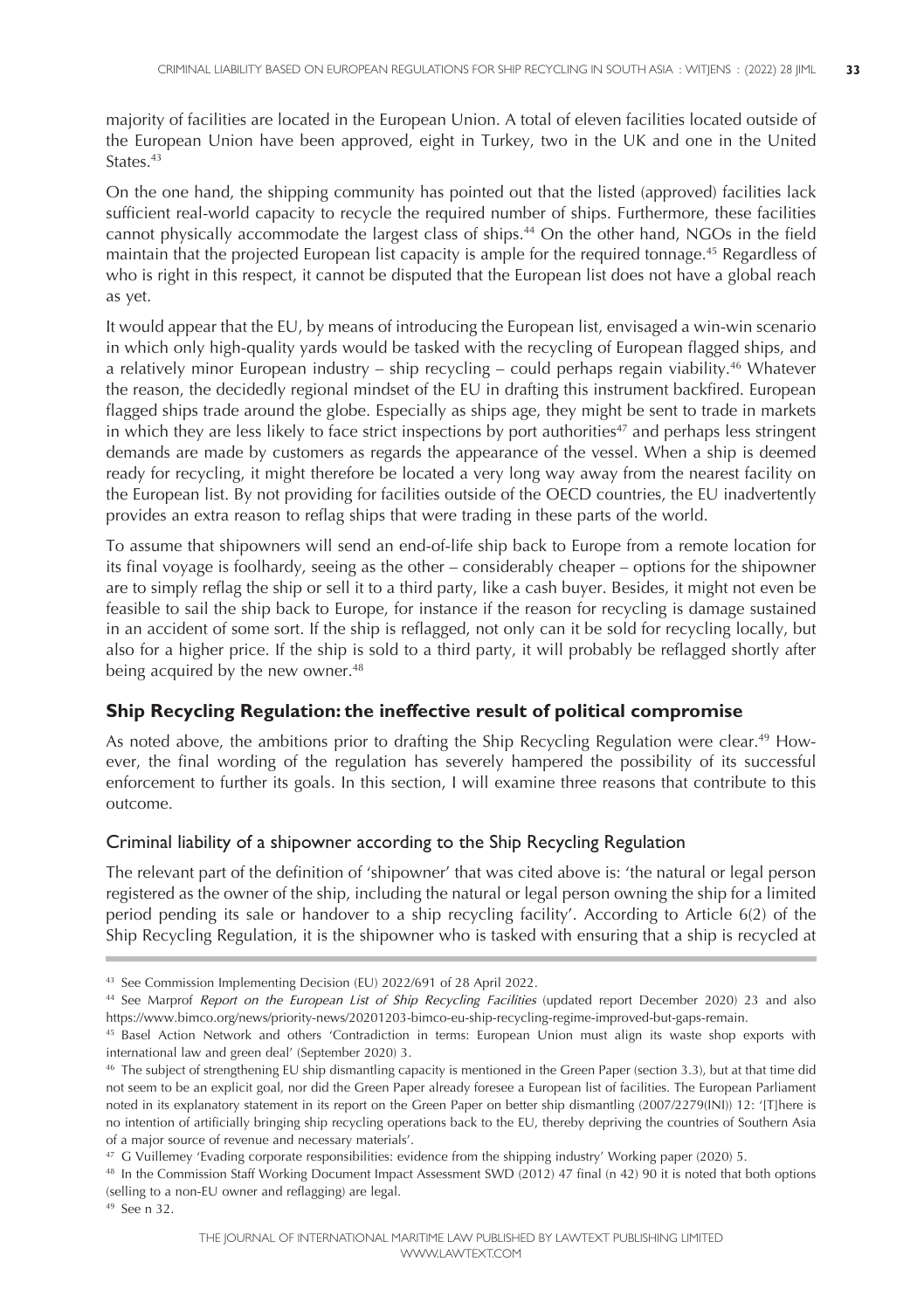majority of facilities are located in the European Union. A total of eleven facilities located outside of the European Union have been approved, eight in Turkey, two in the UK and one in the United States. 43

On the one hand, the shipping community has pointed out that the listed (approved) facilities lack sufficient real-world capacity to recycle the required number of ships. Furthermore, these facilities cannot physically accommodate the largest class of ships. <sup>44</sup> On the other hand, NGOs in the field maintain that the projected European list capacity is ample for the required tonnage. <sup>45</sup> Regardless of who is right in this respect, it cannot be disputed that the European list does not have a global reach as yet.

It would appear that the EU, by means of introducing the European list, envisaged a win-win scenario in which only high-quality yards would be tasked with the recycling of European flagged ships, and a relatively minor European industry – ship recycling – could perhaps regain viability. <sup>46</sup> Whatever the reason, the decidedly regional mindset of the EU in drafting this instrument backfired. European flagged ships trade around the globe. Especially as ships age, they might be sent to trade in markets in which they are less likely to face strict inspections by port authorities $47$  and perhaps less stringent demands are made by customers as regards the appearance of the vessel. When a ship is deemed ready for recycling, it might therefore be located a very long way away from the nearest facility on the European list. By not providing for facilities outside of the OECD countries, the EU inadvertently provides an extra reason to reflag ships that were trading in these parts of the world.

To assume that shipowners will send an end-of-life ship back to Europe from a remote location for its final voyage is foolhardy, seeing as the other – considerably cheaper – options for the shipowner are to simply reflag the ship or sell it to a third party, like a cash buyer. Besides, it might not even be feasible to sail the ship back to Europe, for instance if the reason for recycling is damage sustained in an accident of some sort. If the ship is reflagged, not only can it be sold for recycling locally, but also for a higher price. If the ship is sold to a third party, it will probably be reflagged shortly after being acquired by the new owner. 48

# **Ship Recycling Regulation: the ineffective result of political compromise**

As noted above, the ambitions prior to drafting the Ship Recycling Regulation were clear.<sup>49</sup> However, the final wording of the regulation has severely hampered the possibility of its successful enforcement to further its goals. In this section, I will examine three reasons that contribute to this outcome.

#### Criminal liability of a shipowner according to the Ship Recycling Regulation

The relevant part of the definition of 'shipowner' that was cited above is: 'the natural or legal person registered as the owner of the ship, including the natural or legal person owning the ship for a limited period pending its sale or handover to a ship recycling facility'. According to Article 6(2) of the Ship Recycling Regulation, it is the shipowner who is tasked with ensuring that a ship is recycled at

<sup>43</sup> See Commission Implementing Decision (EU) 2022/691 of 28 April 2022.

<sup>44</sup> See Marprof *Report on the European List of Ship Recycling Facilities* (updated report December 2020) 23 and also https://www.bimco.org/news/priority-news/20201203-bimco-eu-ship-recycling-regime-improved-but-gaps-remain.

<sup>45</sup> Basel Action Network and others 'Contradiction in terms: European Union must align its waste shop exports with international law and green deal' (September 2020) 3.

<sup>46</sup> The subject of strengthening EU ship dismantling capacity is mentioned in the Green Paper (section 3.3), but at that time did not seem to be an explicit goal, nor did the Green Paper already foresee a European list of facilities. The European Parliament noted in its explanatory statement in its report on the Green Paper on better ship dismantling (2007/2279(INI)) 12: '[T]here is no intention of artificially bringing ship recycling operations back to the EU, thereby depriving the countries of Southern Asia of a major source of revenue and necessary materials'.

<sup>47</sup> G Vuillemey 'Evading corporate responsibilities: evidence from the shipping industry' Working paper (2020) 5.

<sup>48</sup> In the Commission Staff Working Document Impact Assessment SWD (2012) 47 final (n 42) 90 it is noted that both options (selling to a non-EU owner and reflagging) are legal.

<sup>49</sup> See n 32.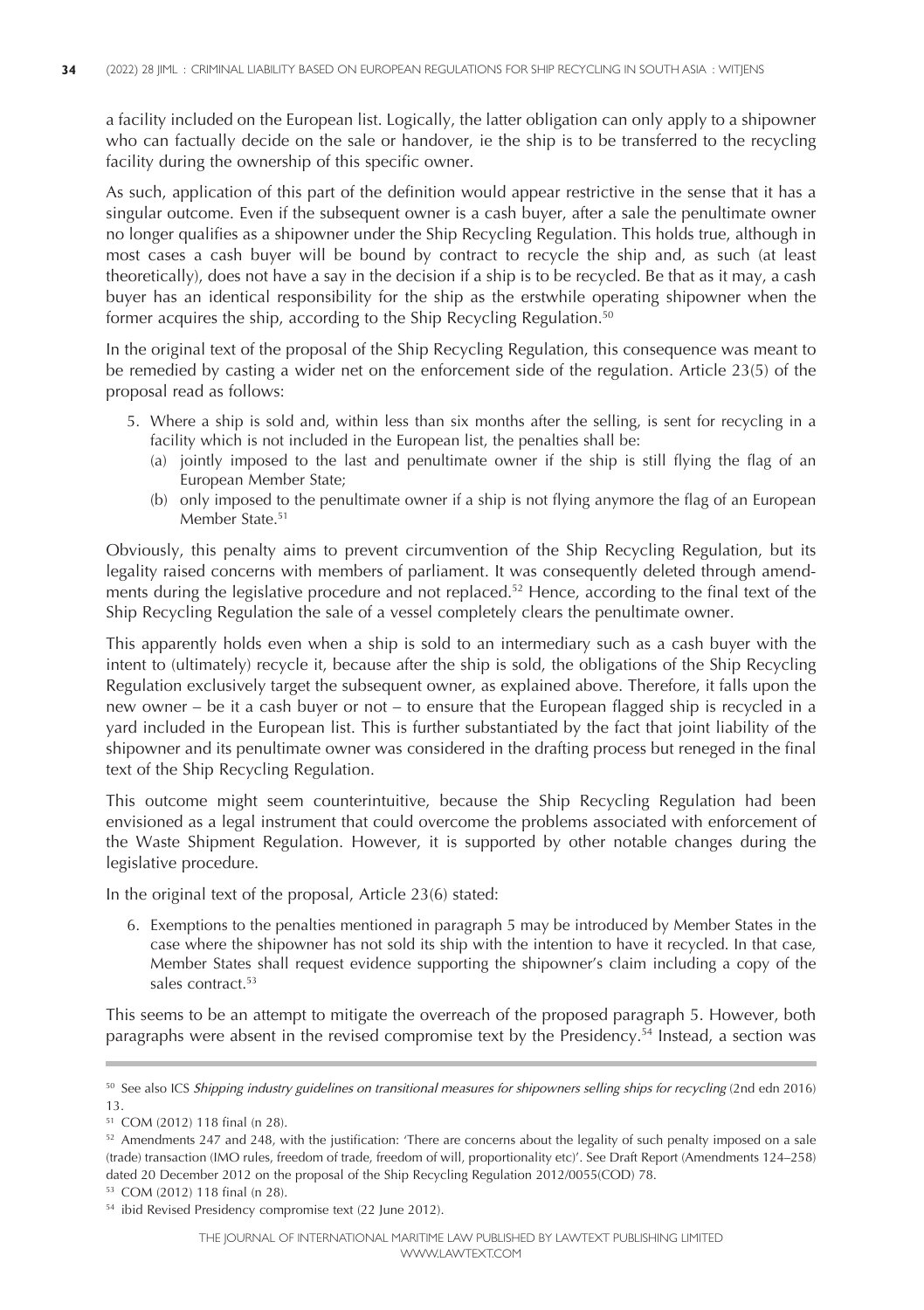a facility included on the European list. Logically, the latter obligation can only apply to a shipowner who can factually decide on the sale or handover, ie the ship is to be transferred to the recycling facility during the ownership of this specific owner.

As such, application of this part of the definition would appear restrictive in the sense that it has a singular outcome. Even if the subsequent owner is a cash buyer, after a sale the penultimate owner no longer qualifies as a shipowner under the Ship Recycling Regulation. This holds true, although in most cases a cash buyer will be bound by contract to recycle the ship and, as such (at least theoretically), does not have a say in the decision if a ship is to be recycled. Be that as it may, a cash buyer has an identical responsibility for the ship as the erstwhile operating shipowner when the former acquires the ship, according to the Ship Recycling Regulation. 50

In the original text of the proposal of the Ship Recycling Regulation, this consequence was meant to be remedied by casting a wider net on the enforcement side of the regulation. Article 23(5) of the proposal read as follows:

- 5. Where a ship is sold and, within less than six months after the selling, is sent for recycling in a facility which is not included in the European list, the penalties shall be:
	- (a) jointly imposed to the last and penultimate owner if the ship is still flying the flag of an European Member State;
	- (b) only imposed to the penultimate owner if a ship is not flying anymore the flag of an European Member State. 51

Obviously, this penalty aims to prevent circumvention of the Ship Recycling Regulation, but its legality raised concerns with members of parliament. It was consequently deleted through amendments during the legislative procedure and not replaced. <sup>52</sup> Hence, according to the final text of the Ship Recycling Regulation the sale of a vessel completely clears the penultimate owner.

This apparently holds even when a ship is sold to an intermediary such as a cash buyer with the intent to (ultimately) recycle it, because after the ship is sold, the obligations of the Ship Recycling Regulation exclusively target the subsequent owner, as explained above. Therefore, it falls upon the new owner – be it a cash buyer or not – to ensure that the European flagged ship is recycled in a yard included in the European list. This is further substantiated by the fact that joint liability of the shipowner and its penultimate owner was considered in the drafting process but reneged in the final text of the Ship Recycling Regulation.

This outcome might seem counterintuitive, because the Ship Recycling Regulation had been envisioned as a legal instrument that could overcome the problems associated with enforcement of the Waste Shipment Regulation. However, it is supported by other notable changes during the legislative procedure.

In the original text of the proposal, Article 23(6) stated:

6. Exemptions to the penalties mentioned in paragraph 5 may be introduced by Member States in the case where the shipowner has not sold its ship with the intention to have it recycled. In that case, Member States shall request evidence supporting the shipowner's claim including a copy of the sales contract. 53

This seems to be an attempt to mitigate the overreach of the proposed paragraph 5. However, both paragraphs were absent in the revised compromise text by the Presidency. <sup>54</sup> Instead, a section was

<sup>53</sup> COM (2012) 118 final (n 28).

<sup>50</sup> See also ICS *Shipping industry guidelines on transitional measures for shipowners selling ships for recycling* (2nd edn 2016) 13.

<sup>51</sup> COM (2012) 118 final (n 28).

<sup>52</sup> Amendments 247 and 248, with the justification: 'There are concerns about the legality of such penalty imposed on a sale (trade) transaction (IMO rules, freedom of trade, freedom of will, proportionality etc)'. See Draft Report (Amendments 124–258) dated 20 December 2012 on the proposal of the Ship Recycling Regulation 2012/0055(COD) 78.

<sup>54</sup> ibid Revised Presidency compromise text (22 June 2012).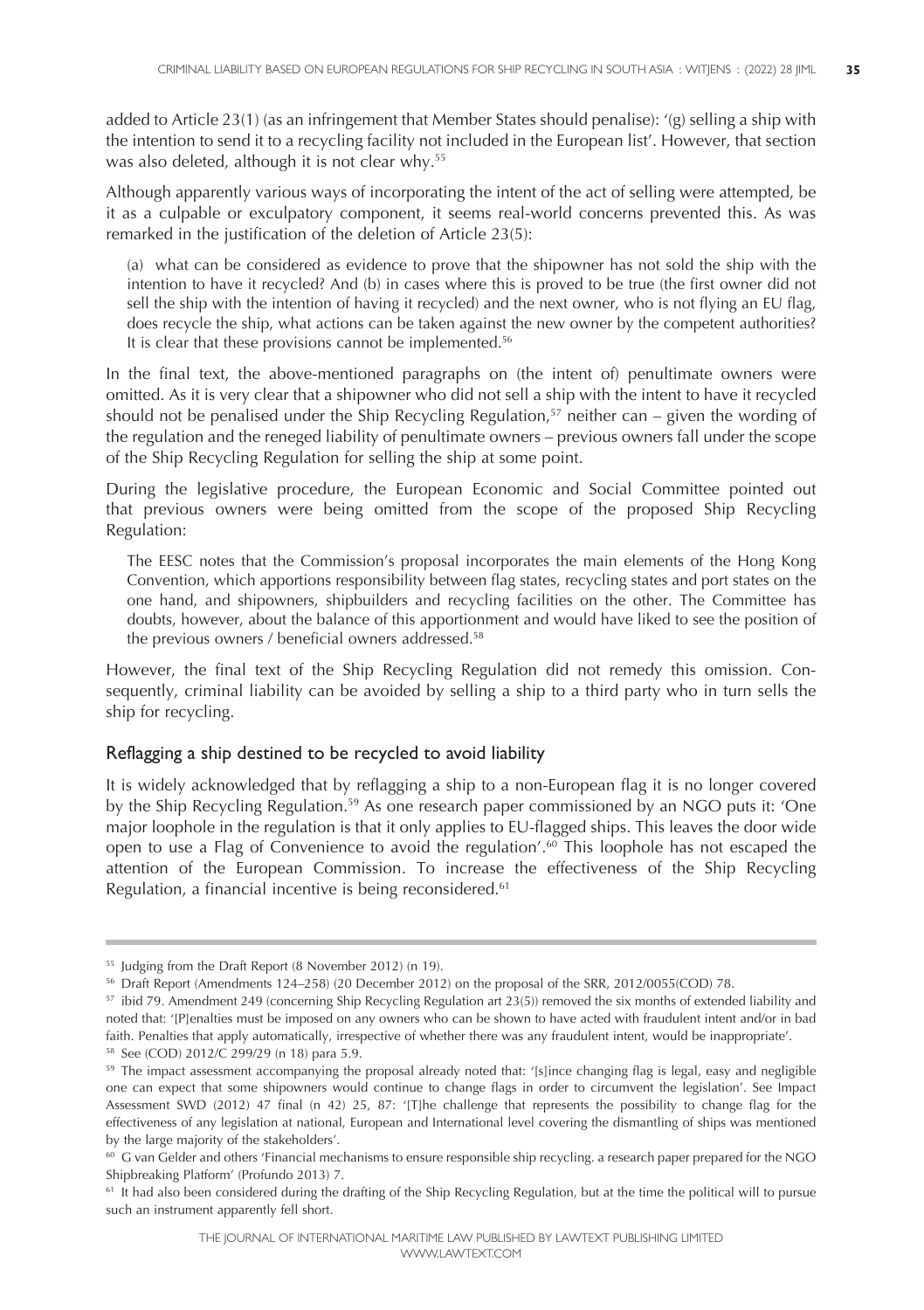added to Article 23(1) (as an infringement that Member States should penalise): '(g) selling a ship with the intention to send it to a recycling facility not included in the European list'. However, that section was also deleted, although it is not clear why. 55

Although apparently various ways of incorporating the intent of the act of selling were attempted, be it as a culpable or exculpatory component, it seems real-world concerns prevented this. As was remarked in the justification of the deletion of Article 23(5):

(a) what can be considered as evidence to prove that the shipowner has not sold the ship with the intention to have it recycled? And (b) in cases where this is proved to be true (the first owner did not sell the ship with the intention of having it recycled) and the next owner, who is not flying an EU flag, does recycle the ship, what actions can be taken against the new owner by the competent authorities? It is clear that these provisions cannot be implemented. 56

In the final text, the above-mentioned paragraphs on (the intent of) penultimate owners were omitted. As it is very clear that a shipowner who did not sell a ship with the intent to have it recycled should not be penalised under the Ship Recycling Regulation, <sup>57</sup> neither can – given the wording of the regulation and the reneged liability of penultimate owners – previous owners fall under the scope of the Ship Recycling Regulation for selling the ship at some point.

During the legislative procedure, the European Economic and Social Committee pointed out that previous owners were being omitted from the scope of the proposed Ship Recycling Regulation:

The EESC notes that the Commission's proposal incorporates the main elements of the Hong Kong Convention, which apportions responsibility between flag states, recycling states and port states on the one hand, and shipowners, shipbuilders and recycling facilities on the other. The Committee has doubts, however, about the balance of this apportionment and would have liked to see the position of the previous owners / beneficial owners addressed. 58

However, the final text of the Ship Recycling Regulation did not remedy this omission. Consequently, criminal liability can be avoided by selling a ship to a third party who in turn sells the ship for recycling.

#### Reflagging a ship destined to be recycled to avoid liability

It is widely acknowledged that by reflagging a ship to a non-European flag it is no longer covered by the Ship Recycling Regulation.<sup>59</sup> As one research paper commissioned by an NGO puts it: 'One major loophole in the regulation is that it only applies to EU-flagged ships. This leaves the door wide open to use a Flag of Convenience to avoid the regulation'. <sup>60</sup> This loophole has not escaped the attention of the European Commission. To increase the effectiveness of the Ship Recycling Regulation, a financial incentive is being reconsidered. 61

<sup>55</sup> Judging from the Draft Report (8 November 2012) (n 19).

<sup>56</sup> Draft Report (Amendments 124–258) (20 December 2012) on the proposal of the SRR, 2012/0055(COD) 78.

<sup>&</sup>lt;sup>57</sup> ibid 79. Amendment 249 (concerning Ship Recycling Regulation art 23(5)) removed the six months of extended liability and noted that: '[P]enalties must be imposed on any owners who can be shown to have acted with fraudulent intent and/or in bad faith. Penalties that apply automatically, irrespective of whether there was any fraudulent intent, would be inappropriate'. <sup>58</sup> See (COD) 2012/C 299/29 (n 18) para 5.9.

<sup>&</sup>lt;sup>59</sup> The impact assessment accompanying the proposal already noted that: '[s]ince changing flag is legal, easy and negligible one can expect that some shipowners would continue to change flags in order to circumvent the legislation'. See Impact Assessment SWD (2012) 47 final (n 42) 25, 87: '[T]he challenge that represents the possibility to change flag for the effectiveness of any legislation at national, European and International level covering the dismantling of ships was mentioned by the large majority of the stakeholders'.

<sup>&</sup>lt;sup>60</sup> G van Gelder and others 'Financial mechanisms to ensure responsible ship recycling. a research paper prepared for the NGO Shipbreaking Platform' (Profundo 2013) 7.

<sup>&</sup>lt;sup>61</sup> It had also been considered during the drafting of the Ship Recycling Regulation, but at the time the political will to pursue such an instrument apparently fell short.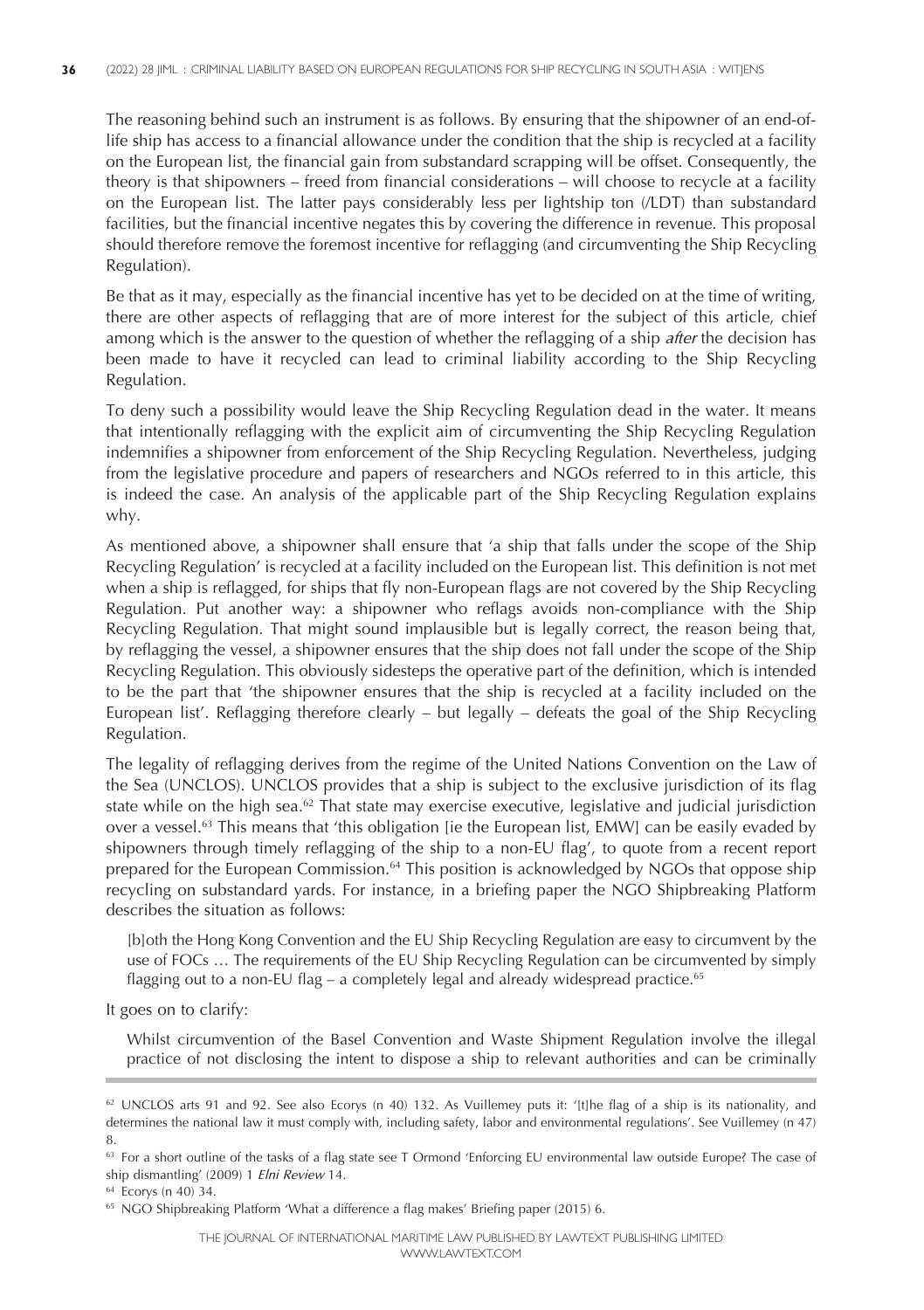The reasoning behind such an instrument is as follows. By ensuring that the shipowner of an end-oflife ship has access to a financial allowance under the condition that the ship is recycled at a facility on the European list, the financial gain from substandard scrapping will be offset. Consequently, the theory is that shipowners – freed from financial considerations – will choose to recycle at a facility on the European list. The latter pays considerably less per lightship ton (/LDT) than substandard facilities, but the financial incentive negates this by covering the difference in revenue. This proposal should therefore remove the foremost incentive for reflagging (and circumventing the Ship Recycling Regulation).

Be that as it may, especially as the financial incentive has yet to be decided on at the time of writing, there are other aspects of reflagging that are of more interest for the subject of this article, chief among which is the answer to the question of whether the reflagging of a ship *after* the decision has been made to have it recycled can lead to criminal liability according to the Ship Recycling Regulation.

To deny such a possibility would leave the Ship Recycling Regulation dead in the water. It means that intentionally reflagging with the explicit aim of circumventing the Ship Recycling Regulation indemnifies a shipowner from enforcement of the Ship Recycling Regulation. Nevertheless, judging from the legislative procedure and papers of researchers and NGOs referred to in this article, this is indeed the case. An analysis of the applicable part of the Ship Recycling Regulation explains why.

As mentioned above, a shipowner shall ensure that 'a ship that falls under the scope of the Ship Recycling Regulation' is recycled at a facility included on the European list. This definition is not met when a ship is reflagged, for ships that fly non-European flags are not covered by the Ship Recycling Regulation. Put another way: a shipowner who reflags avoids non-compliance with the Ship Recycling Regulation. That might sound implausible but is legally correct, the reason being that, by reflagging the vessel, a shipowner ensures that the ship does not fall under the scope of the Ship Recycling Regulation. This obviously sidesteps the operative part of the definition, which is intended to be the part that 'the shipowner ensures that the ship is recycled at a facility included on the European list'. Reflagging therefore clearly – but legally – defeats the goal of the Ship Recycling Regulation.

The legality of reflagging derives from the regime of the United Nations Convention on the Law of the Sea (UNCLOS). UNCLOS provides that a ship is subject to the exclusive jurisdiction of its flag state while on the high sea.<sup>62</sup> That state may exercise executive, legislative and judicial jurisdiction over a vessel. <sup>63</sup> This means that 'this obligation [ie the European list, EMW] can be easily evaded by shipowners through timely reflagging of the ship to a non-EU flag', to quote from a recent report prepared for the European Commission.<sup>64</sup> This position is acknowledged by NGOs that oppose ship recycling on substandard yards. For instance, in a briefing paper the NGO Shipbreaking Platform describes the situation as follows:

[b]oth the Hong Kong Convention and the EU Ship Recycling Regulation are easy to circumvent by the use of FOCs … The requirements of the EU Ship Recycling Regulation can be circumvented by simply flagging out to a non-EU flag – a completely legal and already widespread practice.<sup>65</sup>

It goes on to clarify:

Whilst circumvention of the Basel Convention and Waste Shipment Regulation involve the illegal practice of not disclosing the intent to dispose a ship to relevant authorities and can be criminally

<sup>62</sup> UNCLOS arts 91 and 92. See also Ecorys (n 40) 132. As Vuillemey puts it: '[t]he flag of a ship is its nationality, and determines the national law it must comply with, including safety, labor and environmental regulations'. See Vuillemey (n 47) 8.

<sup>&</sup>lt;sup>63</sup> For a short outline of the tasks of a flag state see T Ormond 'Enforcing EU environmental law outside Europe? The case of ship dismantling' (2009) 1 *Elni Review* 14.

<sup>64</sup> Ecorys (n 40) 34.

<sup>65</sup> NGO Shipbreaking Platform 'What a difference a flag makes' Briefing paper (2015) 6.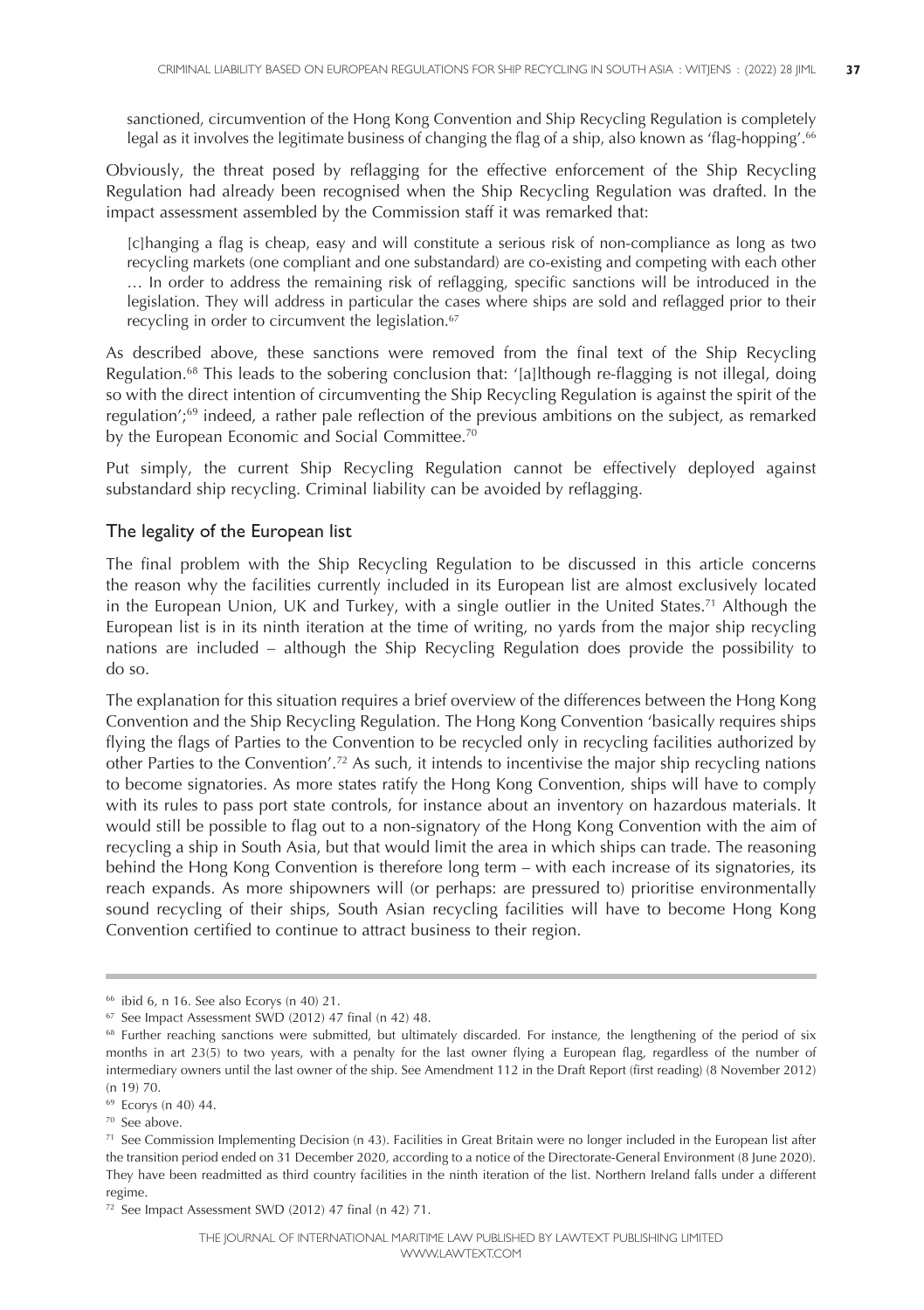sanctioned, circumvention of the Hong Kong Convention and Ship Recycling Regulation is completely legal as it involves the legitimate business of changing the flag of a ship, also known as 'flag-hopping'. 66

Obviously, the threat posed by reflagging for the effective enforcement of the Ship Recycling Regulation had already been recognised when the Ship Recycling Regulation was drafted. In the impact assessment assembled by the Commission staff it was remarked that:

[c]hanging a flag is cheap, easy and will constitute a serious risk of non-compliance as long as two recycling markets (one compliant and one substandard) are co-existing and competing with each other … In order to address the remaining risk of reflagging, specific sanctions will be introduced in the legislation. They will address in particular the cases where ships are sold and reflagged prior to their recycling in order to circumvent the legislation. 67

As described above, these sanctions were removed from the final text of the Ship Recycling Regulation. <sup>68</sup> This leads to the sobering conclusion that: '[a]lthough re-flagging is not illegal, doing so with the direct intention of circumventing the Ship Recycling Regulation is against the spirit of the regulation'; <sup>69</sup> indeed, a rather pale reflection of the previous ambitions on the subject, as remarked by the European Economic and Social Committee. 70

Put simply, the current Ship Recycling Regulation cannot be effectively deployed against substandard ship recycling. Criminal liability can be avoided by reflagging.

#### The legality of the European list

The final problem with the Ship Recycling Regulation to be discussed in this article concerns the reason why the facilities currently included in its European list are almost exclusively located in the European Union, UK and Turkey, with a single outlier in the United States. <sup>71</sup> Although the European list is in its ninth iteration at the time of writing, no yards from the major ship recycling nations are included – although the Ship Recycling Regulation does provide the possibility to do so.

The explanation for this situation requires a brief overview of the differences between the Hong Kong Convention and the Ship Recycling Regulation. The Hong Kong Convention 'basically requires ships flying the flags of Parties to the Convention to be recycled only in recycling facilities authorized by other Parties to the Convention'. <sup>72</sup> As such, it intends to incentivise the major ship recycling nations to become signatories. As more states ratify the Hong Kong Convention, ships will have to comply with its rules to pass port state controls, for instance about an inventory on hazardous materials. It would still be possible to flag out to a non-signatory of the Hong Kong Convention with the aim of recycling a ship in South Asia, but that would limit the area in which ships can trade. The reasoning behind the Hong Kong Convention is therefore long term – with each increase of its signatories, its reach expands. As more shipowners will (or perhaps: are pressured to) prioritise environmentally sound recycling of their ships, South Asian recycling facilities will have to become Hong Kong Convention certified to continue to attract business to their region.

<sup>66</sup> ibid 6, n 16. See also Ecorys (n 40) 21.

<sup>67</sup> See Impact Assessment SWD (2012) 47 final (n 42) 48.

<sup>&</sup>lt;sup>68</sup> Further reaching sanctions were submitted, but ultimately discarded. For instance, the lengthening of the period of six months in art 23(5) to two years, with a penalty for the last owner flying a European flag, regardless of the number of intermediary owners until the last owner of the ship. See Amendment 112 in the Draft Report (first reading) (8 November 2012) (n 19) 70.

<sup>69</sup> Ecorys (n 40) 44.

<sup>70</sup> See above.

 $71$  See Commission Implementing Decision (n 43). Facilities in Great Britain were no longer included in the European list after the transition period ended on 31 December 2020, according to a notice of the Directorate-General Environment (8 June 2020). They have been readmitted as third country facilities in the ninth iteration of the list. Northern Ireland falls under a different regime.

<sup>72</sup> See Impact Assessment SWD (2012) 47 final (n 42) 71.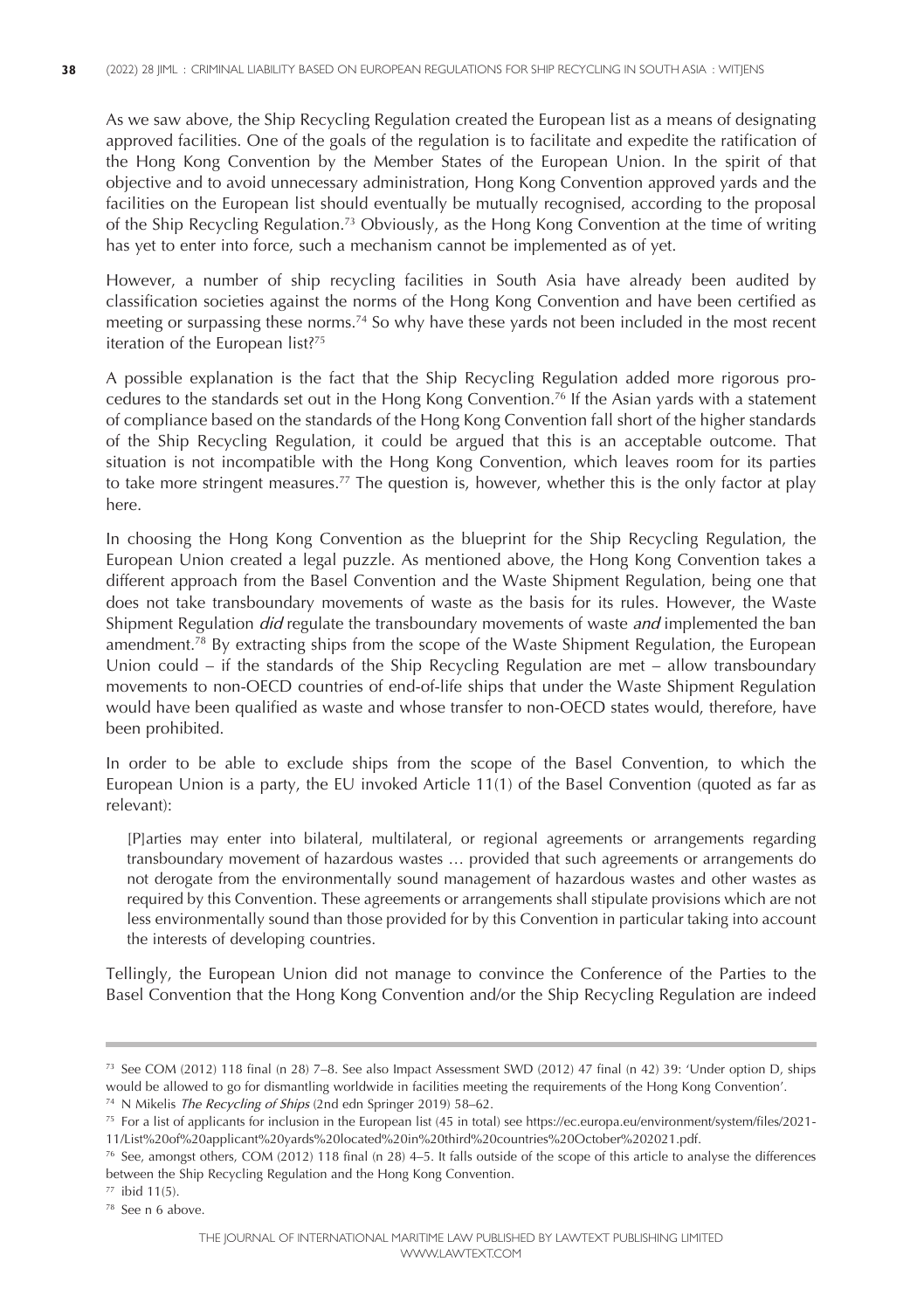As we saw above, the Ship Recycling Regulation created the European list as a means of designating approved facilities. One of the goals of the regulation is to facilitate and expedite the ratification of the Hong Kong Convention by the Member States of the European Union. In the spirit of that objective and to avoid unnecessary administration, Hong Kong Convention approved yards and the facilities on the European list should eventually be mutually recognised, according to the proposal of the Ship Recycling Regulation. <sup>73</sup> Obviously, as the Hong Kong Convention at the time of writing has yet to enter into force, such a mechanism cannot be implemented as of yet.

However, a number of ship recycling facilities in South Asia have already been audited by classification societies against the norms of the Hong Kong Convention and have been certified as meeting or surpassing these norms. <sup>74</sup> So why have these yards not been included in the most recent iteration of the European list?<sup>75</sup>

A possible explanation is the fact that the Ship Recycling Regulation added more rigorous procedures to the standards set out in the Hong Kong Convention. <sup>76</sup> If the Asian yards with a statement of compliance based on the standards of the Hong Kong Convention fall short of the higher standards of the Ship Recycling Regulation, it could be argued that this is an acceptable outcome. That situation is not incompatible with the Hong Kong Convention, which leaves room for its parties to take more stringent measures. <sup>77</sup> The question is, however, whether this is the only factor at play here.

In choosing the Hong Kong Convention as the blueprint for the Ship Recycling Regulation, the European Union created a legal puzzle. As mentioned above, the Hong Kong Convention takes a different approach from the Basel Convention and the Waste Shipment Regulation, being one that does not take transboundary movements of waste as the basis for its rules. However, the Waste Shipment Regulation *did* regulate the transboundary movements of waste *and* implemented the ban amendment.<sup>78</sup> By extracting ships from the scope of the Waste Shipment Regulation, the European Union could – if the standards of the Ship Recycling Regulation are met – allow transboundary movements to non-OECD countries of end-of-life ships that under the Waste Shipment Regulation would have been qualified as waste and whose transfer to non-OECD states would, therefore, have been prohibited.

In order to be able to exclude ships from the scope of the Basel Convention, to which the European Union is a party, the EU invoked Article 11(1) of the Basel Convention (quoted as far as relevant):

[P]arties may enter into bilateral, multilateral, or regional agreements or arrangements regarding transboundary movement of hazardous wastes … provided that such agreements or arrangements do not derogate from the environmentally sound management of hazardous wastes and other wastes as required by this Convention. These agreements or arrangements shall stipulate provisions which are not less environmentally sound than those provided for by this Convention in particular taking into account the interests of developing countries.

Tellingly, the European Union did not manage to convince the Conference of the Parties to the Basel Convention that the Hong Kong Convention and/or the Ship Recycling Regulation are indeed

<sup>73</sup> See COM (2012) 118 final (n 28) 7–8. See also Impact Assessment SWD (2012) 47 final (n 42) 39: 'Under option D, ships would be allowed to go for dismantling worldwide in facilities meeting the requirements of the Hong Kong Convention'.

<sup>74</sup> N Mikelis *The Recycling of Ships* (2nd edn Springer 2019) 58–62.

<sup>75</sup> For a list of applicants for inclusion in the European list (45 in total) see https://ec.europa.eu/environment/system/files/2021- 11/List%20of%20applicant%20yards%20located%20in%20third%20countries%20October%202021.pdf.

<sup>76</sup> See, amongst others, COM (2012) 118 final (n 28) 4–5. It falls outside of the scope of this article to analyse the differences between the Ship Recycling Regulation and the Hong Kong Convention.

 $77$  ibid  $11(5)$ .

<sup>78</sup> See n 6 above.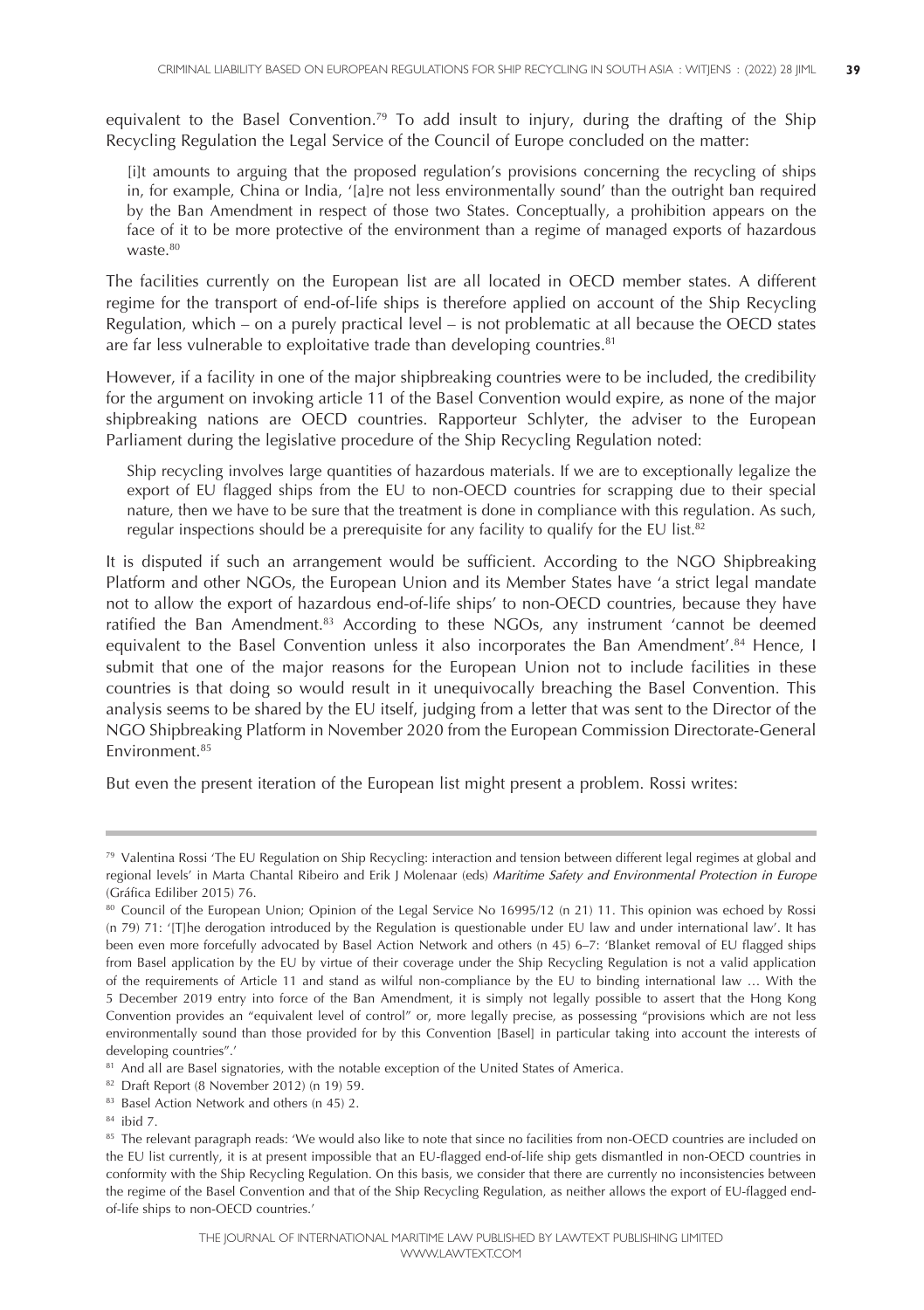equivalent to the Basel Convention.<sup>79</sup> To add insult to injury, during the drafting of the Ship Recycling Regulation the Legal Service of the Council of Europe concluded on the matter:

[i]t amounts to arguing that the proposed regulation's provisions concerning the recycling of ships in, for example, China or India, '[a]re not less environmentally sound' than the outright ban required by the Ban Amendment in respect of those two States. Conceptually, a prohibition appears on the face of it to be more protective of the environment than a regime of managed exports of hazardous waste.<sup>80</sup>

The facilities currently on the European list are all located in OECD member states. A different regime for the transport of end-of-life ships is therefore applied on account of the Ship Recycling Regulation, which – on a purely practical level – is not problematic at all because the OECD states are far less vulnerable to exploitative trade than developing countries. 81

However, if a facility in one of the major shipbreaking countries were to be included, the credibility for the argument on invoking article 11 of the Basel Convention would expire, as none of the major shipbreaking nations are OECD countries. Rapporteur Schlyter, the adviser to the European Parliament during the legislative procedure of the Ship Recycling Regulation noted:

Ship recycling involves large quantities of hazardous materials. If we are to exceptionally legalize the export of EU flagged ships from the EU to non-OECD countries for scrapping due to their special nature, then we have to be sure that the treatment is done in compliance with this regulation. As such, regular inspections should be a prerequisite for any facility to qualify for the EU list. 82

It is disputed if such an arrangement would be sufficient. According to the NGO Shipbreaking Platform and other NGOs, the European Union and its Member States have 'a strict legal mandate not to allow the export of hazardous end-of-life ships' to non-OECD countries, because they have ratified the Ban Amendment.<sup>83</sup> According to these NGOs, any instrument 'cannot be deemed equivalent to the Basel Convention unless it also incorporates the Ban Amendment'. <sup>84</sup> Hence, I submit that one of the major reasons for the European Union not to include facilities in these countries is that doing so would result in it unequivocally breaching the Basel Convention. This analysis seems to be shared by the EU itself, judging from a letter that was sent to the Director of the NGO Shipbreaking Platform in November 2020 from the European Commission Directorate-General Environment. 85

But even the present iteration of the European list might present a problem. Rossi writes:

<sup>79</sup> Valentina Rossi 'The EU Regulation on Ship Recycling: interaction and tension between different legal regimes at global and regional levels' in Marta Chantal Ribeiro and Erik J Molenaar (eds) *Maritime Safety and Environmental Protection in Europe* (Gráfica Ediliber 2015) 76.

<sup>80</sup> Council of the European Union; Opinion of the Legal Service No 16995/12 (n 21) 11. This opinion was echoed by Rossi (n 79) 71: '[T]he derogation introduced by the Regulation is questionable under EU law and under international law'. It has been even more forcefully advocated by Basel Action Network and others (n 45) 6–7: 'Blanket removal of EU flagged ships from Basel application by the EU by virtue of their coverage under the Ship Recycling Regulation is not a valid application of the requirements of Article 11 and stand as wilful non-compliance by the EU to binding international law … With the 5 December 2019 entry into force of the Ban Amendment, it is simply not legally possible to assert that the Hong Kong Convention provides an "equivalent level of control" or, more legally precise, as possessing "provisions which are not less environmentally sound than those provided for by this Convention [Basel] in particular taking into account the interests of developing countries".'

<sup>81</sup> And all are Basel signatories, with the notable exception of the United States of America.

<sup>82</sup> Draft Report (8 November 2012) (n 19) 59.

<sup>&</sup>lt;sup>83</sup> Basel Action Network and others (n 45) 2.

<sup>84</sup> ibid 7.

<sup>85</sup> The relevant paragraph reads: 'We would also like to note that since no facilities from non-OECD countries are included on the EU list currently, it is at present impossible that an EU-flagged end-of-life ship gets dismantled in non-OECD countries in conformity with the Ship Recycling Regulation. On this basis, we consider that there are currently no inconsistencies between the regime of the Basel Convention and that of the Ship Recycling Regulation, as neither allows the export of EU-flagged endof-life ships to non-OECD countries.'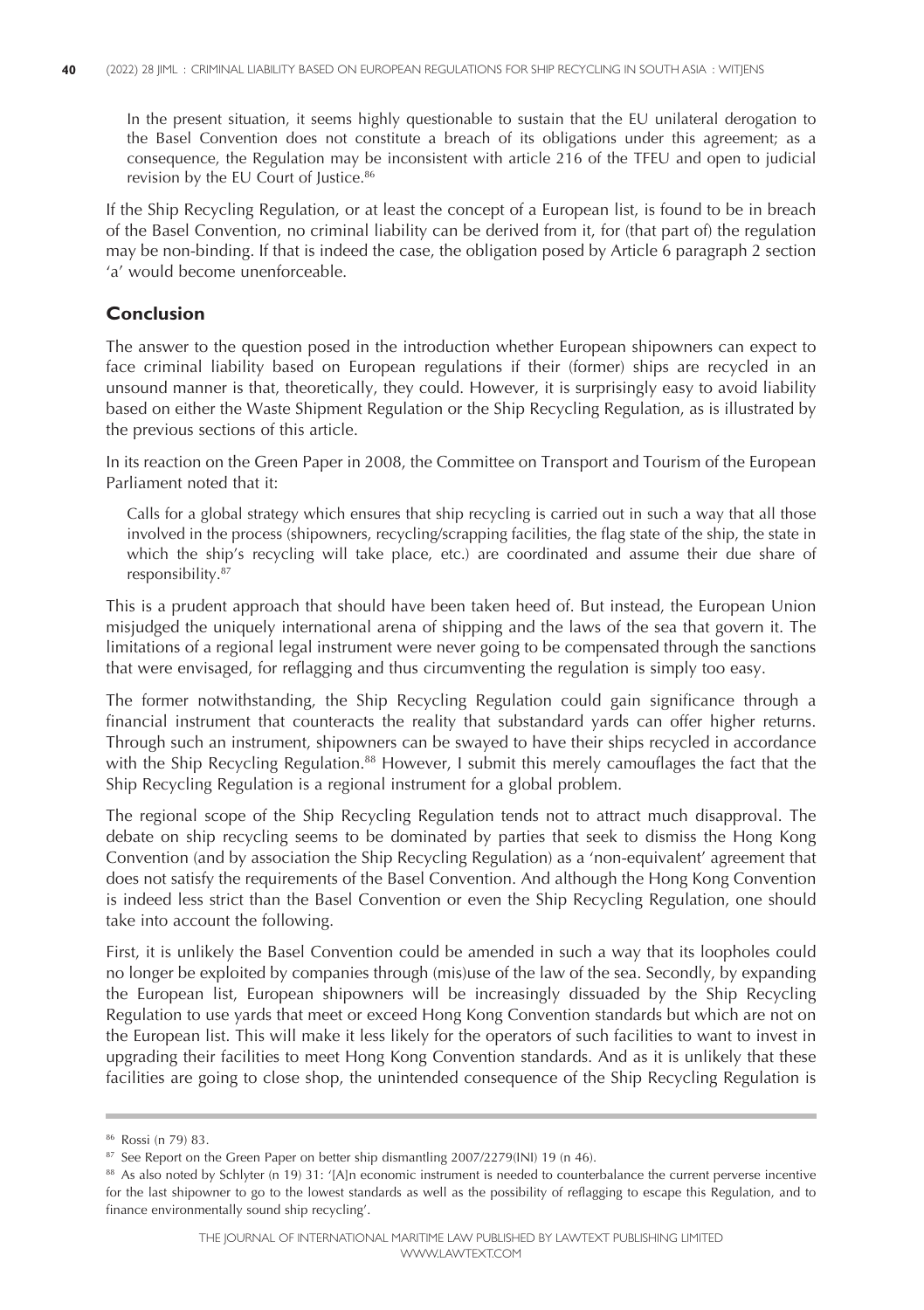In the present situation, it seems highly questionable to sustain that the EU unilateral derogation to the Basel Convention does not constitute a breach of its obligations under this agreement; as a consequence, the Regulation may be inconsistent with article 216 of the TFEU and open to judicial revision by the EU Court of Justice. 86

If the Ship Recycling Regulation, or at least the concept of a European list, is found to be in breach of the Basel Convention, no criminal liability can be derived from it, for (that part of) the regulation may be non-binding. If that is indeed the case, the obligation posed by Article 6 paragraph 2 section 'a' would become unenforceable.

## **Conclusion**

The answer to the question posed in the introduction whether European shipowners can expect to face criminal liability based on European regulations if their (former) ships are recycled in an unsound manner is that, theoretically, they could. However, it is surprisingly easy to avoid liability based on either the Waste Shipment Regulation or the Ship Recycling Regulation, as is illustrated by the previous sections of this article.

In its reaction on the Green Paper in 2008, the Committee on Transport and Tourism of the European Parliament noted that it:

Calls for a global strategy which ensures that ship recycling is carried out in such a way that all those involved in the process (shipowners, recycling/scrapping facilities, the flag state of the ship, the state in which the ship's recycling will take place, etc.) are coordinated and assume their due share of responsibility. 87

This is a prudent approach that should have been taken heed of. But instead, the European Union misjudged the uniquely international arena of shipping and the laws of the sea that govern it. The limitations of a regional legal instrument were never going to be compensated through the sanctions that were envisaged, for reflagging and thus circumventing the regulation is simply too easy.

The former notwithstanding, the Ship Recycling Regulation could gain significance through a financial instrument that counteracts the reality that substandard yards can offer higher returns. Through such an instrument, shipowners can be swayed to have their ships recycled in accordance with the Ship Recycling Regulation.<sup>88</sup> However, I submit this merely camouflages the fact that the Ship Recycling Regulation is a regional instrument for a global problem.

The regional scope of the Ship Recycling Regulation tends not to attract much disapproval. The debate on ship recycling seems to be dominated by parties that seek to dismiss the Hong Kong Convention (and by association the Ship Recycling Regulation) as a 'non-equivalent' agreement that does not satisfy the requirements of the Basel Convention. And although the Hong Kong Convention is indeed less strict than the Basel Convention or even the Ship Recycling Regulation, one should take into account the following.

First, it is unlikely the Basel Convention could be amended in such a way that its loopholes could no longer be exploited by companies through (mis)use of the law of the sea. Secondly, by expanding the European list, European shipowners will be increasingly dissuaded by the Ship Recycling Regulation to use yards that meet or exceed Hong Kong Convention standards but which are not on the European list. This will make it less likely for the operators of such facilities to want to invest in upgrading their facilities to meet Hong Kong Convention standards. And as it is unlikely that these facilities are going to close shop, the unintended consequence of the Ship Recycling Regulation is

<sup>86</sup> Rossi (n 79) 83.

<sup>&</sup>lt;sup>87</sup> See Report on the Green Paper on better ship dismantling 2007/2279(INI) 19 (n 46).

<sup>88</sup> As also noted by Schlyter (n 19) 31: '[A]n economic instrument is needed to counterbalance the current perverse incentive for the last shipowner to go to the lowest standards as well as the possibility of reflagging to escape this Regulation, and to finance environmentally sound ship recycling'.